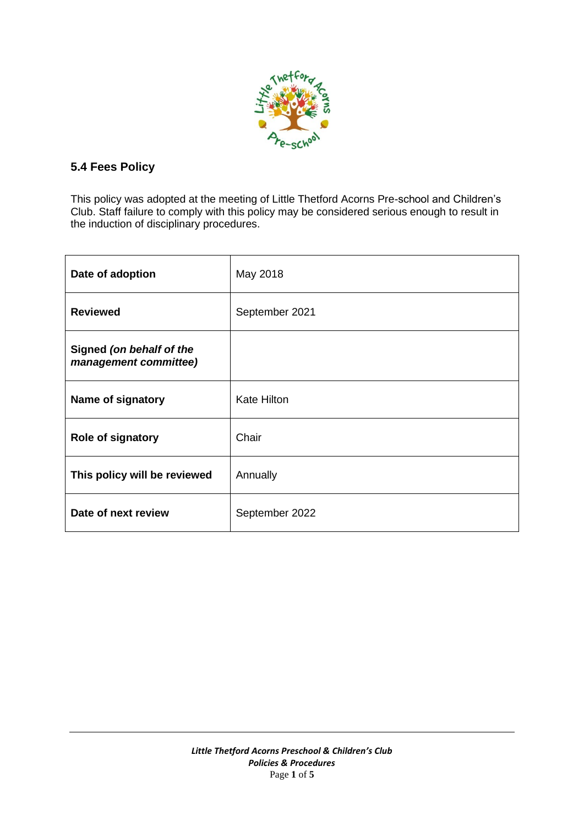

# **5.4 Fees Policy**

This policy was adopted at the meeting of Little Thetford Acorns Pre-school and Children's Club. Staff failure to comply with this policy may be considered serious enough to result in the induction of disciplinary procedures.

| Date of adoption                                  | May 2018           |
|---------------------------------------------------|--------------------|
| <b>Reviewed</b>                                   | September 2021     |
| Signed (on behalf of the<br>management committee) |                    |
| Name of signatory                                 | <b>Kate Hilton</b> |
| <b>Role of signatory</b>                          | Chair              |
| This policy will be reviewed                      | Annually           |
| Date of next review                               | September 2022     |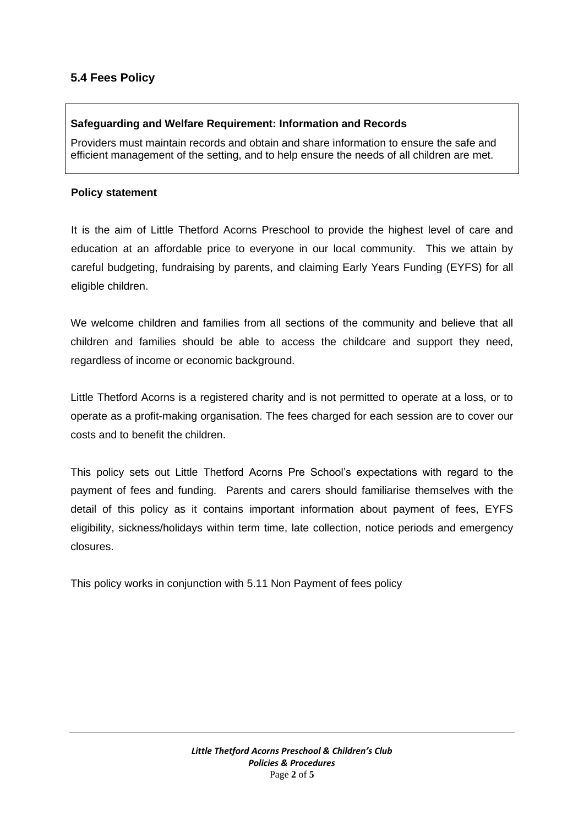# **5.4 Fees Policy**

## **Safeguarding and Welfare Requirement: Information and Records**

Providers must maintain records and obtain and share information to ensure the safe and efficient management of the setting, and to help ensure the needs of all children are met.

#### **Policy statement**

It is the aim of Little Thetford Acorns Preschool to provide the highest level of care and education at an affordable price to everyone in our local community. This we attain by careful budgeting, fundraising by parents, and claiming Early Years Funding (EYFS) for all eligible children.

We welcome children and families from all sections of the community and believe that all children and families should be able to access the childcare and support they need, regardless of income or economic background.

Little Thetford Acorns is a registered charity and is not permitted to operate at a loss, or to operate as a profit-making organisation. The fees charged for each session are to cover our costs and to benefit the children.

This policy sets out Little Thetford Acorns Pre School's expectations with regard to the payment of fees and funding. Parents and carers should familiarise themselves with the detail of this policy as it contains important information about payment of fees, EYFS eligibility, sickness/holidays within term time, late collection, notice periods and emergency closures.

This policy works in conjunction with 5.11 Non Payment of fees policy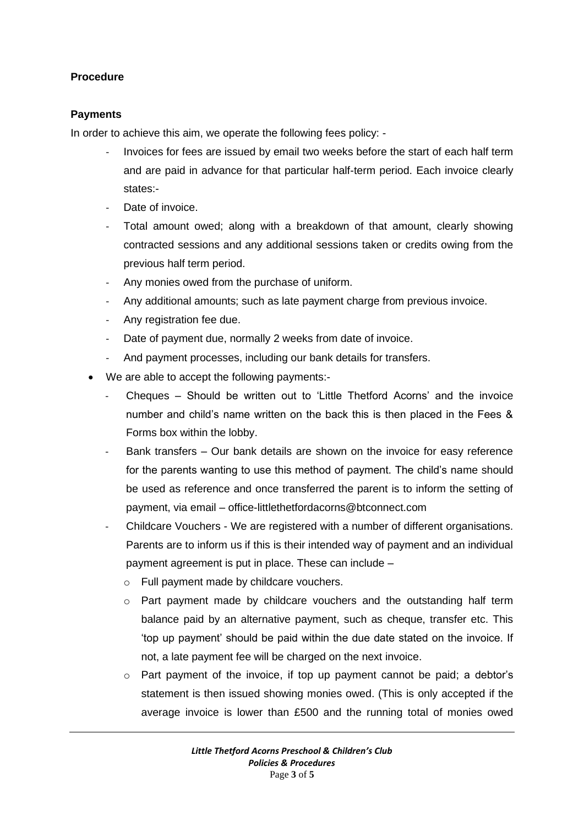## **Procedure**

## **Payments**

In order to achieve this aim, we operate the following fees policy: -

- Invoices for fees are issued by email two weeks before the start of each half term and are paid in advance for that particular half-term period. Each invoice clearly states:-
- Date of invoice.
- Total amount owed; along with a breakdown of that amount, clearly showing contracted sessions and any additional sessions taken or credits owing from the previous half term period.
- Any monies owed from the purchase of uniform.
- Any additional amounts; such as late payment charge from previous invoice.
- Any registration fee due.
- Date of payment due, normally 2 weeks from date of invoice.
- And payment processes, including our bank details for transfers.
- We are able to accept the following payments:-
	- Cheques Should be written out to 'Little Thetford Acorns' and the invoice number and child's name written on the back this is then placed in the Fees & Forms box within the lobby.
	- Bank transfers Our bank details are shown on the invoice for easy reference for the parents wanting to use this method of payment. The child's name should be used as reference and once transferred the parent is to inform the setting of payment, via email – office-littlethetfordacorns@btconnect.com
	- Childcare Vouchers We are registered with a number of different organisations. Parents are to inform us if this is their intended way of payment and an individual payment agreement is put in place. These can include –
		- o Full payment made by childcare vouchers.
		- $\circ$  Part payment made by childcare vouchers and the outstanding half term balance paid by an alternative payment, such as cheque, transfer etc. This 'top up payment' should be paid within the due date stated on the invoice. If not, a late payment fee will be charged on the next invoice.
		- o Part payment of the invoice, if top up payment cannot be paid; a debtor's statement is then issued showing monies owed. (This is only accepted if the average invoice is lower than £500 and the running total of monies owed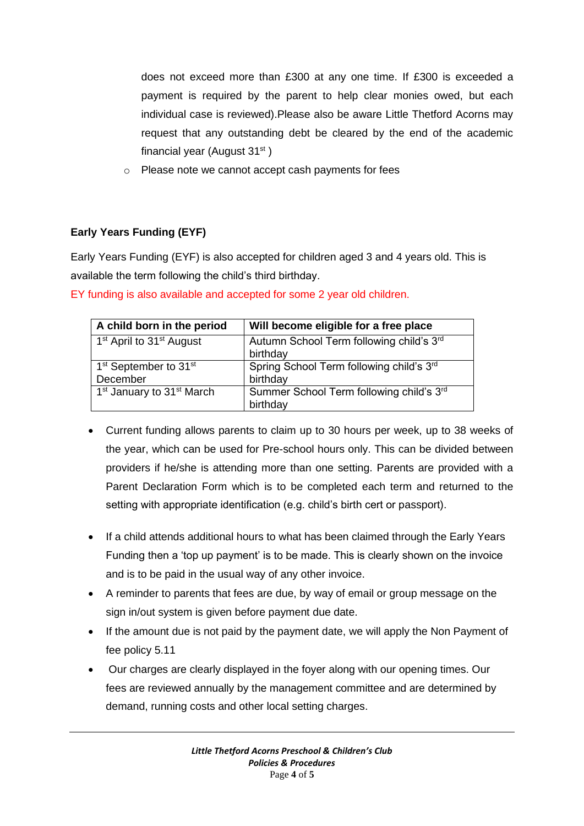does not exceed more than £300 at any one time. If £300 is exceeded a payment is required by the parent to help clear monies owed, but each individual case is reviewed).Please also be aware Little Thetford Acorns may request that any outstanding debt be cleared by the end of the academic financial year (August 31st)

o Please note we cannot accept cash payments for fees

# **Early Years Funding (EYF)**

Early Years Funding (EYF) is also accepted for children aged 3 and 4 years old. This is available the term following the child's third birthday.

| A child born in the period                                | Will become eligible for a free place                |
|-----------------------------------------------------------|------------------------------------------------------|
| 1 <sup>st</sup> April to 31 <sup>st</sup> August          | Autumn School Term following child's 3rd<br>birthday |
| 1 <sup>st</sup> September to 31 <sup>st</sup><br>December | Spring School Term following child's 3rd<br>birthday |
| 1 <sup>st</sup> January to 31 <sup>st</sup> March         | Summer School Term following child's 3rd<br>birthday |

EY funding is also available and accepted for some 2 year old children.

- Current funding allows parents to claim up to 30 hours per week, up to 38 weeks of the year, which can be used for Pre-school hours only. This can be divided between providers if he/she is attending more than one setting. Parents are provided with a Parent Declaration Form which is to be completed each term and returned to the setting with appropriate identification (e.g. child's birth cert or passport).
- If a child attends additional hours to what has been claimed through the Early Years Funding then a 'top up payment' is to be made. This is clearly shown on the invoice and is to be paid in the usual way of any other invoice.
- A reminder to parents that fees are due, by way of email or group message on the sign in/out system is given before payment due date.
- If the amount due is not paid by the payment date, we will apply the Non Payment of fee policy 5.11
- Our charges are clearly displayed in the foyer along with our opening times. Our fees are reviewed annually by the management committee and are determined by demand, running costs and other local setting charges.